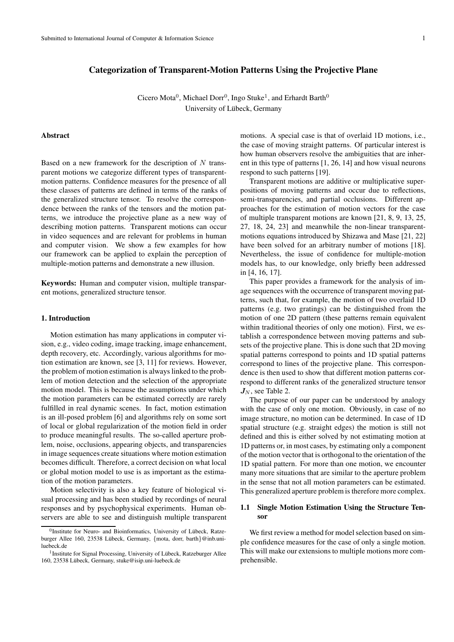# **Categorization of Transparent-Motion Patterns Using the Projective Plane**

Cicero Mota<sup>0</sup>, Michael Dorr<sup>0</sup>, Ingo Stuke<sup>1</sup>, and Erhardt Barth<sup>0</sup> University of Lübeck, Germany

### **Abstract**

Based on a new framework for the description of  $N$  transparent motions we categorize different types of transparentmotion patterns. Confidence measures for the presence of all these classes of patterns are defined in terms of the ranks of the generalized structure tensor. To resolve the correspondence between the ranks of the tensors and the motion patterns, we introduce the projective plane as a new way of describing motion patterns. Transparent motions can occur in video sequences and are relevant for problems in human and computer vision. We show a few examples for how our framework can be applied to explain the perception of multiple-motion patterns and demonstrate a new illusion.

**Keywords:** Human and computer vision, multiple transparent motions, generalized structure tensor.

#### **1. Introduction**

Motion estimation has many applications in computer vision, e.g., video coding, image tracking, image enhancement, depth recovery, etc. Accordingly, various algorithms for motion estimation are known, see [3, 11] for reviews. However, the problem of motion estimation is always linked to the problem of motion detection and the selection of the appropriate motion model. This is because the assumptions under which the motion parameters can be estimated correctly are rarely fulfilled in real dynamic scenes. In fact, motion estimation is an ill-posed problem [6] and algorithms rely on some sort of local or global regularization of the motion field in order to produce meaningful results. The so-called aperture problem, noise, occlusions, appearing objects, and transparencies in image sequences create situations where motion estimation becomes difficult. Therefore, a correct decision on what local or global motion model to use is as important as the estimation of the motion parameters.

Motion selectivity is also a key feature of biological visual processing and has been studied by recordings of neural responses and by psychophysical experiments. Human observers are able to see and distinguish multiple transparent motions. A special case is that of overlaid 1D motions, i.e., the case of moving straight patterns. Of particular interest is how human observers resolve the ambiguities that are inherent in this type of patterns [1, 26, 14] and how visual neurons respond to such patterns [19].

Transparent motions are additive or multiplicative superpositions of moving patterns and occur due to reflections, semi-transparencies, and partial occlusions. Different approaches for the estimation of motion vectors for the case of multiple transparent motions are known [21, 8, 9, 13, 25, 27, 18, 24, 23] and meanwhile the non-linear transparentmotions equations introduced by Shizawa and Mase [21, 22] have been solved for an arbitrary number of motions [18]. Nevertheless, the issue of confidence for multiple-motion models has, to our knowledge, only briefly been addressed in [4, 16, 17].

This paper provides a framework for the analysis of image sequences with the occurrence of transparent moving patterns, such that, for example, the motion of two overlaid 1D patterns (e.g. two gratings) can be distinguished from the motion of one 2D pattern (these patterns remain equivalent within traditional theories of only one motion). First, we establish a correspondence between moving patterns and subsets of the projective plane. This is done such that 2D moving spatial patterns correspond to points and 1D spatial patterns correspond to lines of the projective plane. This correspondence is then used to show that different motion patterns correspond to different ranks of the generalized structure tensor  $J_N$ , see Table 2.

The purpose of our paper can be understood by analogy with the case of only one motion. Obviously, in case of no image structure, no motion can be determined. In case of 1D spatial structure (e.g. straight edges) the motion is still not defined and this is either solved by not estimating motion at 1D patterns or, in most cases, by estimating only a component of the motion vector that is orthogonal to the orientation of the 1D spatial pattern. For more than one motion, we encounter many more situations that are similar to the aperture problem in the sense that not all motion parameters can be estimated. This generalized aperture problem is therefore more complex.

# **1.1 Single Motion Estimation Using the Structure Tensor**

We first review a method for model selection based on simple confidence measures for the case of only a single motion. This will make our extensions to multiple motions more comprehensible.

 $0$ Institute for Neuro- and Bioinformatics, University of Lübeck, Ratzeburger Allee 160, 23538 Lübeck, Germany, {mota, dorr, barth}@inb.uniluebeck.de

<sup>&</sup>lt;sup>1</sup> Institute for Signal Processing, University of Lübeck, Ratzeburger Allee 160, 23538 Lübeck, Germany, stuke@isip.uni-luebeck.de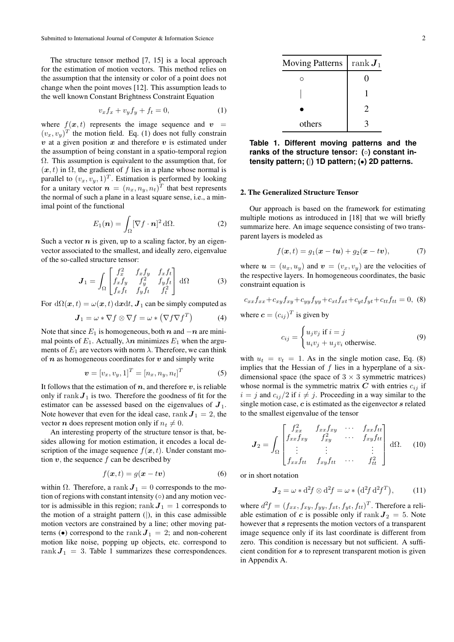The structure tensor method [7, 15] is a local approach for the estimation of motion vectors. This method relies on the assumption that the intensity or color of a point does not change when the point moves [12]. This assumption leads to the well known Constant Brightness Constraint Equation

$$
v_x f_x + v_y f_y + f_t = 0,\t\t(1)
$$

where  $f(x,t)$  represents the image sequence and  $v =$  $(v_x, v_y)^T$  the motion field. Eq. (1) does not fully constrain  $v$  at a given position  $x$  and therefore  $v$  is estimated under the assumption of being constant in a spatio-temporal region  $\Omega$ . This assumption is equivalent to the assumption that, for  $(x, t)$  in  $\Omega$ , the gradient of f lies in a plane whose normal is parallel to  $(v_x, v_y, 1)^T$ . Estimation is performed by looking for a unitary vector  $\boldsymbol{n} = (n_x, n_y, n_t)^T$  that best represents the normal of such a plane in a least square sense, i.e., a minimal point of the functional

$$
E_1(\boldsymbol{n}) = \int_{\Omega} [\nabla f \cdot \boldsymbol{n}]^2 d\Omega.
$$
 (2)

Such a vector  $n$  is given, up to a scaling factor, by an eigenvector associated to the smallest, and ideally zero, eigenvalue of the so-called structure tensor:

$$
\boldsymbol{J}_1 = \int_{\Omega} \begin{bmatrix} f_x^2 & f_x f_y & f_x f_t \\ f_x f_y & f_y^2 & f_y f_t \\ f_x f_t & f_y f_t & f_t^2 \end{bmatrix} d\Omega \tag{3}
$$

For  $d\Omega(x,t) = \omega(x,t) dxdt$ ,  $J_1$  can be simply computed as

$$
\boldsymbol{J}_1 = \boldsymbol{\omega} * \nabla f \otimes \nabla f = \boldsymbol{\omega} * (\nabla f \nabla f^T) \tag{4}
$$

Note that since  $E_1$  is homogeneous, both n and  $-n$  are minimal points of  $E_1$ . Actually,  $\lambda n$  minimizes  $E_1$  when the arguments of  $E_1$  are vectors with norm  $\lambda$ . Therefore, we can think of  $n$  as homogeneous coordinates for  $v$  and simply write

$$
\mathbf{v} = [v_x, v_y, 1]^T = [n_x, n_y, n_t]^T
$$
 (5)

It follows that the estimation of  $n$ , and therefore  $v$ , is reliable only if  $\text{rank } J_1$  is two. Therefore the goodness of fit for the estimator can be assessed based on the eigenvalues of  $J_1$ . Note however that even for the ideal case, rank  $J_1 = 2$ , the vector *n* does represent motion only if  $n_t \neq 0$ .

An interesting property of the structure tensor is that, besides allowing for motion estimation, it encodes a local description of the image sequence  $f(x,t)$ . Under constant motion  $v$ , the sequence  $f$  can be described by

$$
f(\boldsymbol{x},t) = g(\boldsymbol{x} - t\boldsymbol{v})\tag{6}
$$

within  $\Omega$ . Therefore, a rank  $J_1 = 0$  corresponds to the motion of regions with constant intensity  $( \circ )$  and any motion vector is admissible in this region; rank  $J_1 = 1$  corresponds to the motion of a straight pattern (|), in this case admissible motion vectors are constrained by a line; other moving patterns ( $\bullet$ ) correspond to the rank  $J_1 = 2$ ; and non-coherent motion like noise, popping up objects, etc. correspond to rank  $J_1 = 3$ . Table 1 summarizes these correspondences.

| Moving Patterns | rank $J_1$            |
|-----------------|-----------------------|
| ∩               | 0                     |
|                 |                       |
|                 | $\mathcal{D}_{\cdot}$ |
| others          |                       |

**Table 1. Different moving patterns and the ranks of the structure tensor: (**◦**) constant intensity pattern; (**|**) 1D pattern; (**•**) 2D patterns.**

### **2. The Generalized Structure Tensor**

Our approach is based on the framework for estimating multiple motions as introduced in [18] that we will briefly summarize here. An image sequence consisting of two transparent layers is modeled as

$$
f(\boldsymbol{x},t) = g_1(\boldsymbol{x}-t\boldsymbol{u}) + g_2(\boldsymbol{x}-t\boldsymbol{v}), \tag{7}
$$

where  $u = (u_x, u_y)$  and  $v = (v_x, v_y)$  are the velocities of the respective layers. In homogeneous coordinates, the basic constraint equation is

$$
c_{xx}f_{xx} + c_{xy}f_{xy} + c_{yy}f_{yy} + c_{xt}f_{xt} + c_{yt}f_{yt} + c_{tt}f_{tt} = 0, (8)
$$

where  $\mathbf{c} = (c_{ij})^T$  is given by

$$
c_{ij} = \begin{cases} u_j v_j \text{ if } i = j \\ u_i v_j + u_j v_i \text{ otherwise.} \end{cases}
$$
 (9)

with  $u_t = v_t = 1$ . As in the single motion case, Eq. (8) implies that the Hessian of  $f$  lies in a hyperplane of a sixdimensional space (the space of  $3 \times 3$  symmetric matrices) whose normal is the symmetric matrix  $C$  with entries  $c_{ij}$  if  $i = j$  and  $c_{ij}/2$  if  $i \neq j$ . Proceeding in a way similar to the single motion case,  $c$  is estimated as the eigenvector  $s$  related to the smallest eigenvalue of the tensor

$$
\boldsymbol{J}_2 = \int_{\Omega} \begin{bmatrix} f_{xx}^2 & f_{xx}f_{xy} & \cdots & f_{xx}f_{tt} \\ f_{xx}f_{xy} & f_{xy}^2 & \cdots & f_{xy}f_{tt} \\ \vdots & \vdots & & \vdots \\ f_{xx}f_{tt} & f_{xy}f_{tt} & \cdots & f_{tt}^2 \end{bmatrix} d\Omega.
$$
 (10)

or in short notation

$$
\mathbf{J}_2 = \omega \ast \mathrm{d}^2 f \otimes \mathrm{d}^2 f = \omega \ast \left( \mathrm{d}^2 f \, \mathrm{d}^2 f^T \right),\tag{11}
$$

where  $d^2f = (f_{xx}, f_{xy}, f_{yy}, f_{xt}, f_{yt}, f_{tt})^T$ . Therefore a reliable estimation of c is possible only if rank  $J_2 = 5$ . Note however that s represents the motion vectors of a transparent image sequence only if its last coordinate is different from zero. This condition is necessary but not sufficient. A sufficient condition for s to represent transparent motion is given in Appendix A.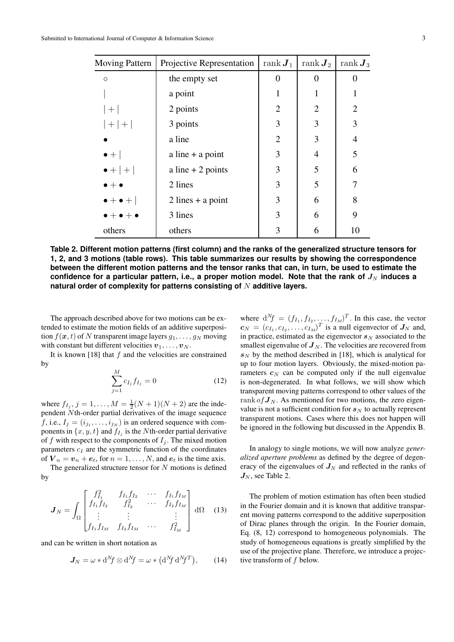| <b>Moving Pattern</b>           | Projective Representation | rank $J_1$     | $\mathrm{rank}\,\bm{J}_2$ | rank $\bm{J}_3$ |
|---------------------------------|---------------------------|----------------|---------------------------|-----------------|
| $\circ$                         | the empty set             | 0              | 0                         |                 |
|                                 | a point                   | 1              | 1                         |                 |
| $ + $                           | 2 points                  | $\overline{2}$ | $\overline{2}$            | $\overline{2}$  |
| $ + + $                         | 3 points                  | 3              | 3                         | 3               |
|                                 | a line                    | $\overline{2}$ | 3                         | $\overline{4}$  |
| $\bullet$ + $\vert$             | a line $+$ a point        | 3              | 4                         | 5               |
| $\bullet +   +  $               | a line $+2$ points        | 3              | 5                         | 6               |
| $\bullet + \bullet$             | 2 lines                   | 3              | 5                         |                 |
| $\bullet$ + $\bullet$ + $\vert$ | $2$ lines + a point       | 3              | 6                         | 8               |
| $\bullet + \bullet + \bullet$   | 3 lines                   | 3              | 6                         | 9               |
| others                          | others                    | 3              | 6                         | 10              |

**Table 2. Different motion patterns (first column) and the ranks of the generalized structure tensors for 1, 2, and 3 motions (table rows). This table summarizes our results by showing the correspondence** between the different motion patterns and the tensor ranks that can, in turn, be used to estimate the **confidence** for a particular pattern, i.e., a proper motion model. Note that the rank of  $J_N$  induces a **natural order of complexity for patterns consisting of** N **additive layers.**

The approach described above for two motions can be extended to estimate the motion fields of an additive superposition  $f(x,t)$  of N transparent image layers  $g_1, \ldots, g_N$  moving with constant but different velocities  $v_1, \ldots, v_N$ .

It is known [18] that  $f$  and the velocities are constrained by  $\overline{M}$ 

$$
\sum_{j=1}^{M} c_{I_j} f_{I_j} = 0 \tag{12}
$$

where  $f_{I_j}$ ,  $j = 1, ..., M = \frac{1}{2}(N + 1)(N + 2)$  are the independent Nth-order partial derivatives of the image sequence f, i.e.,  $I_j = (i_{j_1}, \ldots, i_{j_N})$  is an ordered sequence with components in  $\{x, y, t\}$  and  $f_{I_j}$  is the Nth-order partial derivative of f with respect to the components of  $I_i$ . The mixed motion parameters  $c_I$  are the symmetric function of the coordinates of  $V_n = v_n + e_t$ , for  $n = 1, ..., N$ , and  $e_t$  is the time axis. The generalized structure tensor for  $N$  motions is defined

by

$$
\boldsymbol{J}_{N} = \int_{\Omega} \begin{bmatrix} f_{I_1}^2 & f_{I_1} f_{I_2} & \cdots & f_{I_1} f_{I_M} \\ f_{I_1} f_{I_2} & f_{I_2}^2 & \cdots & f_{I_2} f_{I_M} \\ \vdots & \vdots & & \vdots \\ f_{I_1} f_{I_M} & f_{I_2} f_{I_M} & \cdots & f_{I_M}^2 \end{bmatrix} d\Omega \quad (13)
$$

and can be written in short notation as

$$
J_N = \omega * d^N f \otimes d^N f = \omega * (d^N f d^N f^T), \qquad (14)
$$

where  $d^N f = (f_{I_1}, f_{I_2}, \dots, f_{I_M})^T$ . In this case, the vector  $\boldsymbol{c}_N = (c_{I_1}, c_{I_2}, \dots, c_{I_M})^T$  is a null eigenvector of  $\boldsymbol{J}_N$  and, in practice, estimated as the eigenvector  $s_N$  associated to the smallest eigenvalue of  $J<sub>N</sub>$ . The velocities are recovered from  $s_N$  by the method described in [18], which is analytical for up to four motion layers. Obviously, the mixed-motion parameters  $c_N$  can be computed only if the null eigenvalue is non-degenerated. In what follows, we will show which transparent moving patterns correspond to other values of the rank of  $J<sub>N</sub>$ . As mentioned for two motions, the zero eigenvalue is not a sufficient condition for  $s_N$  to actually represent transparent motions. Cases where this does not happen will be ignored in the following but discussed in the Appendix B.

In analogy to single motions, we will now analyze *generalized aperture problems* as defined by the degree of degeneracy of the eigenvalues of  $J_N$  and reflected in the ranks of  $J_N$ , see Table 2.

The problem of motion estimation has often been studied in the Fourier domain and it is known that additive transparent moving patterns correspond to the additive superposition of Dirac planes through the origin. In the Fourier domain, Eq. (8, 12) correspond to homogeneous polynomials. The study of homogeneous equations is greatly simplified by the use of the projective plane. Therefore, we introduce a projective transform of f below.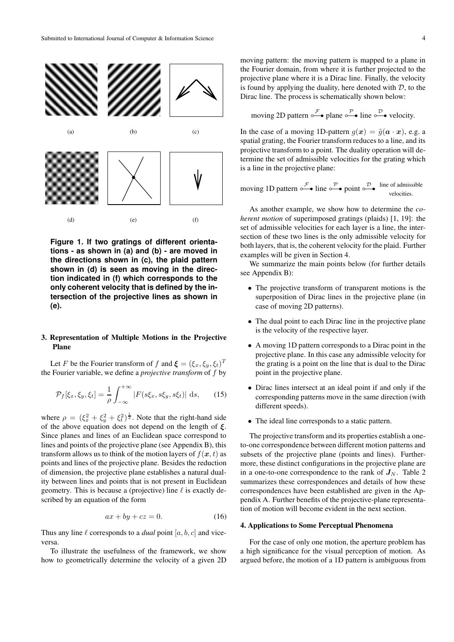

**Figure 1. If two gratings of different orientations - as shown in (a) and (b) - are moved in the directions shown in (c), the plaid pattern shown in (d) is seen as moving in the direction indicated in (f) which corresponds to the only coherent velocity that is defined by the intersection of the projective lines as shown in (e).**

# **3. Representation of Multiple Motions in the Projective Plane**

Let F be the Fourier transform of f and  $\boldsymbol{\xi} = (\xi_x, \xi_y, \xi_t)^T$ the Fourier variable, we define a *projective transform* of f by

$$
\mathcal{P}_f[\xi_x, \xi_y, \xi_t] = \frac{1}{\rho} \int_{-\infty}^{+\infty} |F(s\xi_x, s\xi_y, s\xi_t)| \, \mathrm{d}s,\qquad(15)
$$

where  $\rho = (\xi_x^2 + \xi_y^2 + \xi_t^2)^{\frac{1}{2}}$ . Note that the right-hand side of the above equation does not depend on the length of  $\xi$ . Since planes and lines of an Euclidean space correspond to lines and points of the projective plane (see Appendix B), this transform allows us to think of the motion layers of  $f(x, t)$  as points and lines of the projective plane. Besides the reduction of dimension, the projective plane establishes a natural duality between lines and points that is not present in Euclidean geometry. This is because a (projective) line  $\ell$  is exactly described by an equation of the form

$$
ax + by + cz = 0.\t(16)
$$

Thus any line  $\ell$  corresponds to a *dual* point [a, b, c] and viceversa.

To illustrate the usefulness of the framework, we show how to geometrically determine the velocity of a given 2D moving pattern: the moving pattern is mapped to a plane in the Fourier domain, from where it is further projected to the projective plane where it is a Dirac line. Finally, the velocity is found by applying the duality, here denoted with  $D$ , to the Dirac line. The process is schematically shown below:

moving 2D pattern 
$$
\circ \xrightarrow{\mathcal{F}}
$$
 plane  $\circ \xrightarrow{\mathcal{P}}$  line  $\circ \xrightarrow{\mathcal{D}}$  velocity.

In the case of a moving 1D-pattern  $g(x) = \tilde{g}(a \cdot x)$ , e.g. a spatial grating, the Fourier transform reduces to a line, and its projective transform to a point. The duality operation will determine the set of admissible velocities for the grating which is a line in the projective plane:

moving 1D pattern 
$$
\circ \xrightarrow{\mathcal{F}}
$$
 line  $\circ \xrightarrow{\mathcal{P}}$  point  $\circ \xrightarrow{\mathcal{D}}$  line of admissible velocities.

As another example, we show how to determine the *coherent motion* of superimposed gratings (plaids) [1, 19]: the set of admissible velocities for each layer is a line, the intersection of these two lines is the only admissible velocity for both layers, that is, the coherent velocity for the plaid. Further examples will be given in Section 4.

We summarize the main points below (for further details see Appendix B):

- The projective transform of transparent motions is the superposition of Dirac lines in the projective plane (in case of moving 2D patterns).
- The dual point to each Dirac line in the projective plane is the velocity of the respective layer.
- A moving 1D pattern corresponds to a Dirac point in the projective plane. In this case any admissible velocity for the grating is a point on the line that is dual to the Dirac point in the projective plane.
- Dirac lines intersect at an ideal point if and only if the corresponding patterns move in the same direction (with different speeds).
- The ideal line corresponds to a static pattern.

The projective transform and its properties establish a oneto-one correspondence between different motion patterns and subsets of the projective plane (points and lines). Furthermore, these distinct configurations in the projective plane are in a one-to-one correspondence to the rank of  $J_N$ . Table 2 summarizes these correspondences and details of how these correspondences have been established are given in the Appendix A. Further benefits of the projective-plane representation of motion will become evident in the next section.

#### **4. Applications to Some Perceptual Phenomena**

For the case of only one motion, the aperture problem has a high significance for the visual perception of motion. As argued before, the motion of a 1D pattern is ambiguous from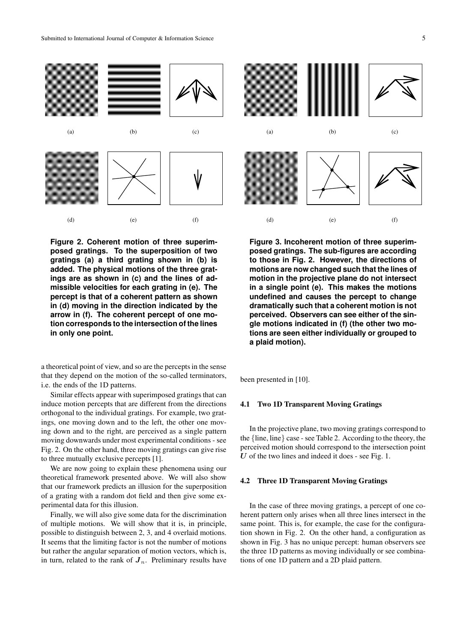

**Figure 2. Coherent motion of three superimposed gratings. To the superposition of two gratings (a) a third grating shown in (b) is added. The physical motions of the three gratings are as shown in (c) and the lines of admissible velocities for each grating in (e). The percept is that of a coherent pattern as shown in (d) moving in the direction indicated by the arrow in (f). The coherent percept of one motion corresponds to the intersection of the lines in only one point.**

a theoretical point of view, and so are the perceptsin the sense that they depend on the motion of the so-called terminators, i.e. the ends of the 1D patterns.

Similar effects appear with superimposed gratings that can induce motion percepts that are different from the directions orthogonal to the individual gratings. For example, two gratings, one moving down and to the left, the other one moving down and to the right, are perceived as a single pattern moving downwards under most experimental conditions - see Fig. 2. On the other hand, three moving gratings can give rise to three mutually exclusive percepts [1].

We are now going to explain these phenomena using our theoretical framework presented above. We will also show that our framework predicts an illusion for the superposition of a grating with a random dot field and then give some experimental data for this illusion.

Finally, we will also give some data for the discrimination of multiple motions. We will show that it is, in principle, possible to distinguish between 2, 3, and 4 overlaid motions. It seems that the limiting factor is not the number of motions but rather the angular separation of motion vectors, which is, in turn, related to the rank of  $J_n$ . Preliminary results have



**Figure 3. Incoherent motion of three superimposed gratings. The sub-figures are according to those in Fig. 2. However, the directions of motions are now changed such that the lines of motion in the projective plane do not intersect in a single point (e). This makes the motions undefined and causes the percept to change dramatically such that a coherent motion is not perceived. Observers can see either of the single motions indicated in (f) (the other two motions are seen either individually or grouped to a plaid motion).**

been presented in [10].

### **4.1 Two 1D Transparent Moving Gratings**

In the projective plane, two moving gratings correspond to the {line, line} case - see Table 2. According to the theory, the perceived motion should correspond to the intersection point  $U$  of the two lines and indeed it does - see Fig. 1.

## **4.2 Three 1D Transparent Moving Gratings**

In the case of three moving gratings, a percept of one coherent pattern only arises when all three lines intersect in the same point. This is, for example, the case for the configuration shown in Fig. 2. On the other hand, a configuration as shown in Fig. 3 has no unique percept: human observers see the three 1D patterns as moving individually or see combinations of one 1D pattern and a 2D plaid pattern.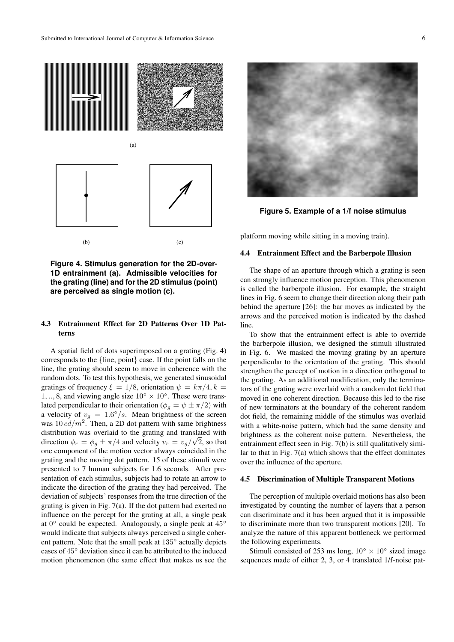

# **Figure 4. Stimulus generation for the 2D-over-1D entrainment (a). Admissible velocities for the grating (line) and for the 2D stimulus (point) are perceived as single motion (c).**

# **4.3 Entrainment Effect for 2D Patterns Over 1D Patterns**

A spatial field of dots superimposed on a grating (Fig. 4) corresponds to the {line, point} case. If the point falls on the line, the grating should seem to move in coherence with the random dots. To test this hypothesis, we generated sinusoidal gratings of frequency  $\xi = 1/8$ , orientation  $\psi = k\pi/4$ ,  $k =$ 1, .., 8, and viewing angle size  $10^{\circ} \times 10^{\circ}$ . These were translated perpendicular to their orientation ( $\phi_q = \psi \pm \pi/2$ ) with a velocity of  $v_g = 1.6^{\circ}/s$ . Mean brightness of the screen was  $10 \, \text{cd/m}^2$ . Then, a 2D dot pattern with same brightness distribution was overlaid to the grating and translated with direction  $\phi_r = \phi_g \pm \pi/4$  and velocity  $v_r = v_g/\sqrt{2}$ , so that one component of the motion vector always coincided in the grating and the moving dot pattern. 15 of these stimuli were presented to 7 human subjects for 1.6 seconds. After presentation of each stimulus, subjects had to rotate an arrow to indicate the direction of the grating they had perceived. The deviation of subjects' responses from the true direction of the grating is given in Fig. 7(a). If the dot pattern had exerted no influence on the percept for the grating at all, a single peak at 0° could be expected. Analogously, a single peak at 45° would indicate that subjects always perceived a single coherent pattern. Note that the small peak at 135◦ actually depicts cases of 45◦ deviation since it can be attributed to the induced motion phenomenon (the same effect that makes us see the



**Figure 5. Example of a 1/f noise stimulus**

platform moving while sitting in a moving train).

# **4.4 Entrainment Effect and the Barberpole Illusion**

The shape of an aperture through which a grating is seen can strongly influence motion perception. This phenomenon is called the barberpole illusion. For example, the straight lines in Fig. 6 seem to change their direction along their path behind the aperture [26]: the bar moves as indicated by the arrows and the perceived motion is indicated by the dashed line.

To show that the entrainment effect is able to override the barberpole illusion, we designed the stimuli illustrated in Fig. 6. We masked the moving grating by an aperture perpendicular to the orientation of the grating. This should strengthen the percept of motion in a direction orthogonal to the grating. As an additional modification, only the terminators of the grating were overlaid with a random dot field that moved in one coherent direction. Because this led to the rise of new terminators at the boundary of the coherent random dot field, the remaining middle of the stimulus was overlaid with a white-noise pattern, which had the same density and brightness as the coherent noise pattern. Nevertheless, the entrainment effect seen in Fig. 7(b) is still qualitatively similar to that in Fig. 7(a) which shows that the effect dominates over the influence of the aperture.

# **4.5 Discrimination of Multiple Transparent Motions**

The perception of multiple overlaid motions has also been investigated by counting the number of layers that a person can discriminate and it has been argued that it is impossible to discriminate more than two transparent motions [20]. To analyze the nature of this apparent bottleneck we performed the following experiments.

Stimuli consisted of 253 ms long,  $10^{\circ} \times 10^{\circ}$  sized image sequences made of either 2, 3, or 4 translated 1/f-noise pat-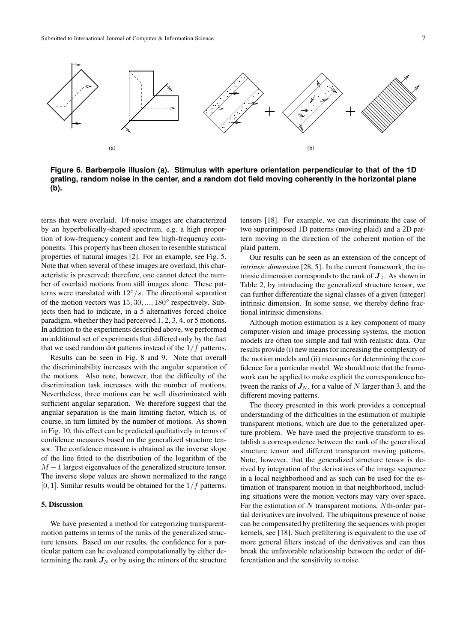

**Figure 6. Barberpole illusion (a). Stimulus with aperture orientation perpendicular to that of the 1D grating, random noise in the center, and a random dot field moving coherently in the horizontal plane (b).**

terns that were overlaid. 1/f-noise images are characterized by an hyperbolically-shaped spectrum, e.g. a high proportion of low-frequency content and few high-frequency components. This property has been chosen to resemble statistical properties of natural images [2]. For an example, see Fig. 5. Note that when several of these images are overlaid, this characteristic is preserved; therefore, one cannot detect the number of overlaid motions from still images alone. These patterns were translated with  $12°/s$ . The directional separation of the motion vectors was  $15, 30, ..., 180^\circ$  respectively. Subjects then had to indicate, in a 5 alternatives forced choice paradigm, whether they had perceived 1, 2, 3, 4, or 5 motions. In addition to the experiments described above, we performed an additional set of experiments that differed only by the fact that we used random dot patterns instead of the  $1/f$  patterns.

Results can be seen in Fig. 8 and 9. Note that overall the discriminability increases with the angular separation of the motions. Also note, however, that the difficulty of the discrimination task increases with the number of motions. Nevertheless, three motions can be well discriminated with sufficient angular separation. We therefore suggest that the angular separation is the main limiting factor, which is, of course, in turn limited by the number of motions. As shown in Fig. 10, this effect can be predicted qualitatively in terms of confidence measures based on the generalized structure tensor. The confidence measure is obtained as the inverse slope of the line fitted to the distribution of the logarithm of the  $M-1$  largest eigenvalues of the generalized structure tensor. The inverse slope values are shown normalized to the range [0, 1]. Similar results would be obtained for the  $1/f$  patterns.

### **5. Discussion**

We have presented a method for categorizing transparentmotion patterns in terms of the ranks of the generalized structure tensors. Based on our results, the confidence for a particular pattern can be evaluated computationally by either determining the rank  $J_N$  or by using the minors of the structure tensors [18]. For example, we can discriminate the case of two superimposed 1D patterns (moving plaid) and a 2D pattern moving in the direction of the coherent motion of the plaid pattern.

Our results can be seen as an extension of the concept of *intrinsic dimension* [28, 5]. In the current framework, the intrinsic dimension corresponds to the rank of  $J_1$ . As shown in Table 2, by introducing the generalized structure tensor, we can further differentiate the signal classes of a given (integer) intrinsic dimension. In some sense, we thereby define fractional intrinsic dimensions.

Although motion estimation is a key component of many computer-vision and image processing systems, the motion models are often too simple and fail with realistic data. Our results provide (i) new meansfor increasing the complexity of the motion models and (ii) measures for determining the confidence for a particular model. We should note that the framework can be applied to make explicit the correspondence between the ranks of  $J_N$ , for a value of N larger than 3, and the different moving patterns.

The theory presented in this work provides a conceptual understanding of the difficulties in the estimation of multiple transparent motions, which are due to the generalized aperture problem. We have used the projective transform to establish a correspondence between the rank of the generalized structure tensor and different transparent moving patterns. Note, however, that the generalized structure tensor is derived by integration of the derivatives of the image sequence in a local neighborhood and as such can be used for the estimation of transparent motion in that neighborhood, including situations were the motion vectors may vary over space. For the estimation of  $N$  transparent motions,  $N$ th-order partial derivatives are involved. The ubiquitous presence of noise can be compensated by prefiltering the sequences with proper kernels, see [18]. Such prefiltering is equivalent to the use of more general filters instead of the derivatives and can thus break the unfavorable relationship between the order of differentiation and the sensitivity to noise.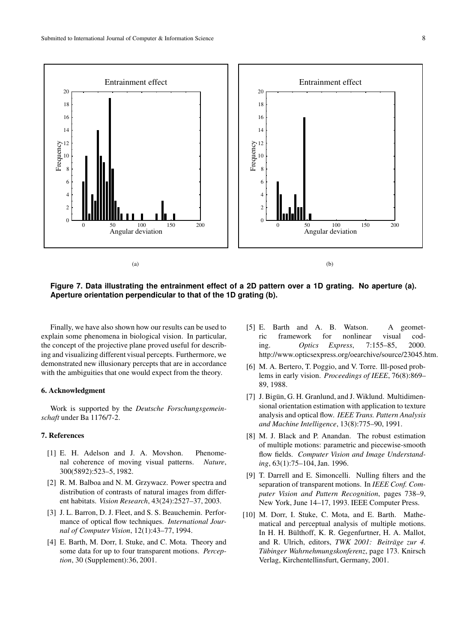

Figure 7. Data illustrating the entrainment effect of a 2D pattern over a 1D grating. No aperture (a). **Aperture orientation perpendicular to that of the 1D grating (b).**

Finally, we have also shown how our results can be used to explain some phenomena in biological vision. In particular, the concept of the projective plane proved useful for describing and visualizing different visual percepts. Furthermore, we demonstrated new illusionary percepts that are in accordance with the ambiguities that one would expect from the theory.

### **6. Acknowledgment**

Work is supported by the *Deutsche Forschungsgemeinschaft* under Ba 1176/7-2.

#### **7. References**

- [1] E. H. Adelson and J. A. Movshon. Phenomenal coherence of moving visual patterns. *Nature*, 300(5892):523–5, 1982.
- [2] R. M. Balboa and N. M. Grzywacz. Power spectra and distribution of contrasts of natural images from different habitats. *Vision Research*, 43(24):2527–37, 2003.
- [3] J. L. Barron, D. J. Fleet, and S. S. Beauchemin. Performance of optical flow techniques. *International Journal of Computer Vision*, 12(1):43–77, 1994.
- [4] E. Barth, M. Dorr, I. Stuke, and C. Mota. Theory and some data for up to four transparent motions. *Perception*, 30 (Supplement):36, 2001.
- [5] E. Barth and A. B. Watson. A geometric framework for nonlinear visual coding. *Optics Express*, 7:155–85, 2000. http://www.opticsexpress.org/oearchive/source/23045.htm.
- [6] M. A. Bertero, T. Poggio, and V. Torre. Ill-posed problems in early vision. *Proceedings of IEEE*, 76(8):869– 89, 1988.
- [7] J. Bigün, G. H. Granlund, and J. Wiklund. Multidimensional orientation estimation with application to texture analysis and optical flow. *IEEE Trans. Pattern Analysis and Machine Intelligence*, 13(8):775–90, 1991.
- [8] M. J. Black and P. Anandan. The robust estimation of multiple motions: parametric and piecewise-smooth flow fields. *Computer Vision and Image Understanding*, 63(1):75–104,Jan. 1996.
- [9] T. Darrell and E. Simoncelli. Nulling filters and the separation of transparent motions. In *IEEE Conf. Computer Vision and Pattern Recognition*, pages 738–9, New York, June 14–17, 1993. IEEE Computer Press.
- [10] M. Dorr, I. Stuke, C. Mota, and E. Barth. Mathematical and perceptual analysis of multiple motions. In H. H. Bülthoff, K. R. Gegenfurtner, H. A. Mallot, and R. Ulrich, editors, *TWK 2001: Beiträge zur 4. Tubing ¨ er Wahrnehmungskonferenz*, page 173. Knirsch Verlag, Kirchentellinsfurt, Germany, 2001.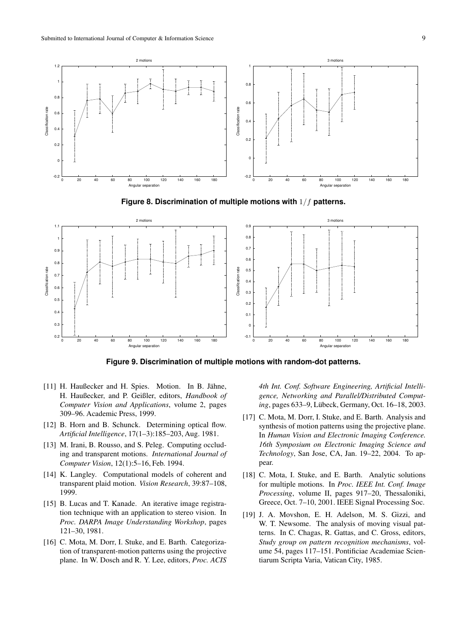

**Figure 8. Discrimination of multiple motions with** 1/f **patterns.**



**Figure 9. Discrimination of multiple motions with random-dot patterns.**

- [11] H. Haußecker and H. Spies. Motion. In B. Jähne, H. Haußecker, and P. Geißler, editors, *Handbook of Computer Vision and Applications*, volume 2, pages 309–96. Academic Press, 1999.
- [12] B. Horn and B. Schunck. Determining optical flow. *Artificial Intelligence*, 17(1–3):185–203, Aug. 1981.
- [13] M. Irani, B. Rousso, and S. Peleg. Computing occluding and transparent motions. *International Journal of Computer Vision*, 12(1):5–16, Feb. 1994.
- [14] K. Langley. Computational models of coherent and transparent plaid motion. *Vision Research*, 39:87–108, 1999.
- [15] B. Lucas and T. Kanade. An iterative image registration technique with an application to stereo vision. In *Proc. DARPA Image Understanding Workshop*, pages 121–30, 1981.
- [16] C. Mota, M. Dorr, I. Stuke, and E. Barth. Categorization of transparent-motion patterns using the projective plane. In W. Dosch and R. Y. Lee, editors, *Proc. ACIS*

*4th Int. Conf. Software Engineering, Artificial Intelligence, Networking and Parallel/Distributed Computing*, pages 633–9, Lübeck, Germany, Oct. 16–18, 2003.

- [17] C. Mota, M. Dorr, I. Stuke, and E. Barth. Analysis and synthesis of motion patterns using the projective plane. In *Human Vision and Electronic Imaging Conference. 16th Symposium on Electronic Imaging Science and Technology*, San Jose, CA, Jan. 19–22, 2004. To appear.
- [18] C. Mota, I. Stuke, and E. Barth. Analytic solutions for multiple motions. In *Proc. IEEE Int. Conf. Image Processing*, volume II, pages 917–20, Thessaloniki, Greece, Oct. 7–10, 2001. IEEE Signal Processing Soc.
- [19] J. A. Movshon, E. H. Adelson, M. S. Gizzi, and W. T. Newsome. The analysis of moving visual patterns. In C. Chagas, R. Gattas, and C. Gross, editors, *Study group on pattern recognition mechanisms*, volume 54, pages 117–151. Pontificiae Academiae Scientiarum Scripta Varia, Vatican City, 1985.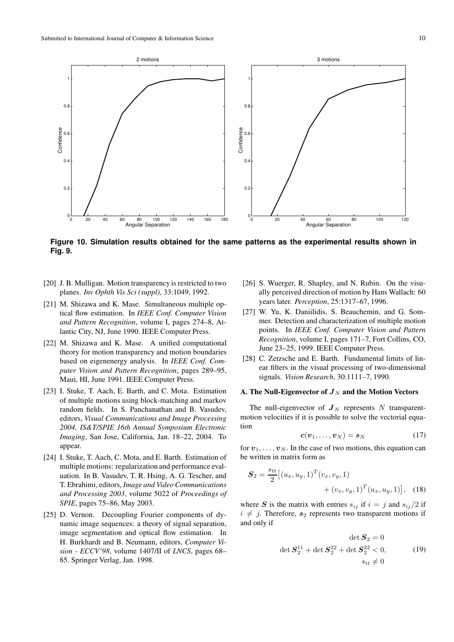

**Figure 10. Simulation results obtained for the same patterns as the experimental results shown in Fig. 9.**

- [20] J. B. Mulligan. Motion transparency is restricted to two planes. *Inv Ophth Vis Sci (suppl)*, 33:1049, 1992.
- [21] M. Shizawa and K. Mase. Simultaneous multiple optical flow estimation. In *IEEE Conf. Computer Vision and Pattern Recognition*, volume I, pages 274–8, Atlantic City, NJ, June 1990. IEEE Computer Press.
- [22] M. Shizawa and K. Mase. A unified computational theory for motion transparency and motion boundaries based on eigenenergy analysis. In *IEEE Conf. Computer Vision and Pattern Recognition*, pages 289–95, Maui, HI, June 1991. IEEE Computer Press.
- [23] I. Stuke, T. Aach, E. Barth, and C. Mota. Estimation of multiple motions using block-matching and markov random fields. In S. Panchanathan and B. Vasudev, editors, *Visual Communications and Image Processing 2004, IS&T/SPIE 16th Annual Symposium Electronic Imaging*, San Jose, California, Jan. 18–22, 2004. To appear.
- [24] I. Stuke, T. Aach, C. Mota, and E. Barth. Estimation of multiple motions: regularization and performance evaluation. In B. Vasudev, T. R. Hsing, A. G. Tescher, and T. Ebrahimi, editors, *Image and Video Communications and Processing 2003*, volume 5022 of *Proceedings of SPIE*, pages 75–86, May 2003.
- [25] D. Vernon. Decoupling Fourier components of dynamic image sequences: a theory of signal separation, image segmentation and optical flow estimation. In H. Burkhardt and B. Neumann, editors, *Computer Vision - ECCV'98*, volume 1407/II of *LNCS*, pages 68– 85. Springer Verlag, Jan. 1998.
- [26] S. Wuerger, R. Shapley, and N. Rubin. On the visually perceived direction of motion by Hans Wallach: 60 years later. *Perception*, 25:1317–67, 1996.
- [27] W. Yu, K. Daniilidis, S. Beauchemin, and G. Sommer. Detection and characterization of multiple motion points. In *IEEE Conf. Computer Vision and Pattern Recognition*, volume I, pages 171–7, Fort Collins, CO, June 23–25, 1999. IEEE Computer Press.
- [28] C. Zetzsche and E. Barth. Fundamental limits of linear filters in the visual processing of two-dimensional signals. *Vision Research*, 30:1111–7, 1990.

# A. The Null-Eigenvector of  $J_N$  and the Motion Vectors

The null-eigenvector of  $J_N$  represents N transparentmotion velocities if it is possible to solve the vectorial equation

$$
\boldsymbol{c}(\boldsymbol{v}_1,\ldots,\boldsymbol{v}_N)=\boldsymbol{s}_N\tag{17}
$$

for  $v_1, \ldots, v_N$ . In the case of two motions, this equation can be written in matrix form as

$$
S_2 = \frac{s_{tt}}{2} [(u_x, u_y, 1)^T (v_x, v_y, 1) + (v_x, v_y, 1)^T (u_x, u_y, 1)], \quad (18)
$$

where S is the matrix with entries  $s_{ij}$  if  $i = j$  and  $s_{ij}/2$  if  $i \neq j$ . Therefore,  $s_2$  represents two transparent motions if and only if

$$
\det \mathbf{S}_2 = 0
$$
  
\n
$$
\det \mathbf{S}_2^{11} + \det \mathbf{S}_2^{22} + \det \mathbf{S}_2^{22} < 0,
$$
\n
$$
s_{tt} \neq 0
$$
\n(19)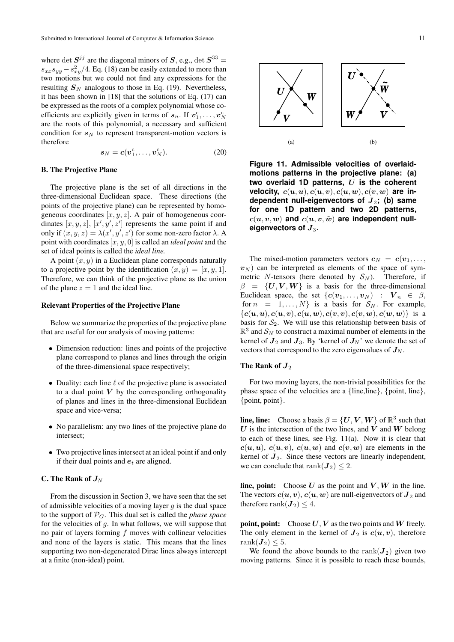where  $\det S^{jj}$  are the diagonal minors of  $S$ , e.g.,  $\det S^{33} =$  $s_{xx}s_{yy} - s_{xy}^2/4$ . Eq. (18) can be easily extended to more than two motions but we could not find any expressions for the resulting  $S_N$  analogous to those in Eq. (19). Nevertheless, it has been shown in [18] that the solutions of Eq. (17) can be expressed as the roots of a complex polynomial whose coefficients are explicitly given in terms of  $s_n$ . If  $v_1^c, \ldots, v_N^c$ are the roots of this polynomial, a necessary and sufficient condition for  $s_N$  to represent transparent-motion vectors is therefore

$$
\mathbf{s}_N = \mathbf{c}(\mathbf{v}_1^{\mathrm{c}}, \dots, \mathbf{v}_N^{\mathrm{c}}). \tag{20}
$$

### **B. The Projective Plane**

The projective plane is the set of all directions in the three-dimensional Euclidean space. These directions (the points of the projective plane) can be represented by homogeneous coordinates  $[x, y, z]$ . A pair of homogeneous coordinates  $[x, y, z]$ ,  $[x', y', z']$  represents the same point if and only if  $(x, y, z) = \lambda(x', y', z')$  for some non-zero factor  $\lambda$ . A point with coordinates  $[x, y, 0]$  is called an *ideal point* and the set of ideal points is called the *ideal line.*

A point  $(x, y)$  in a Euclidean plane corresponds naturally to a projective point by the identification  $(x, y) = [x, y, 1]$ . Therefore, we can think of the projective plane as the union of the plane  $z = 1$  and the ideal line.

## **Relevant Properties of the Projective Plane**

Below we summarize the properties of the projective plane that are useful for our analysis of moving patterns:

- Dimension reduction: lines and points of the projective plane correspond to planes and lines through the origin of the three-dimensional space respectively;
- Duality: each line  $\ell$  of the projective plane is associated to a dual point  $V$  by the corresponding orthogonality of planes and lines in the three-dimensional Euclidean space and vice-versa;
- No parallelism: any two lines of the projective plane do intersect;
- Two projective lines intersect at an ideal point if and only if their dual points and  $e_t$  are aligned.

# **C.** The Rank of  $J_N$

From the discussion in Section 3, we have seen that the set of admissible velocities of a moving layer  $g$  is the dual space to the support of  $P_G$ . This dual set is called the *phase space* for the velocities of  $q$ . In what follows, we will suppose that no pair of layers forming f moves with collinear velocities and none of the layers is static. This means that the lines supporting two non-degenerated Dirac lines always intercept at a finite (non-ideal) point.



**Figure 11. Admissible velocities of overlaidmotions patterns in the projective plane: (a) two overlaid 1D patterns,** U **is the coherent velocity,**  $c(u, u)$ ,  $c(u, v)$ ,  $c(u, w)$ ,  $c(v, w)$  are independent null-eigenvectors of  $J_2$ ; (b) same **for one 1D pattern and two 2D patterns,**  $c(u, v, w)$  and  $c(u, v, \tilde{w})$  are independent null**eigenvectors of** J3**.**

The mixed-motion parameters vectors  $c_N = c(v_1, \ldots,$  $v_N$ ) can be interpreted as elements of the space of symmetric N-tensors (here denoted by  $S_N$ ). Therefore, if  $\beta = \{U, V, W\}$  is a basis for the three-dimensional Euclidean space, the set  $\{c(v_1, \ldots, v_N) : V_n \in \beta, \}$ for  $n = 1, ..., N$  is a basis for  $S_N$ . For example,  ${c(u, u), c(u, v), c(u, w), c(v, v), c(v, w), c(w, w)}$  is a basis for  $S_2$ . We will use this relationship between basis of  $\mathbb{R}^3$  and  $\mathcal{S}_N$  to construct a maximal number of elements in the kernel of  $J_2$  and  $J_3$ . By 'kernel of  $J_N$ ' we denote the set of vectors that correspond to the zero eigenvalues of  $J_N$ .

### **The Rank of**  $J_2$

For two moving layers, the non-trivial possibilities for the phase space of the velocities are a {line,line}, {point, line}, {point, point}.

**line, line:** Choose a basis  $\beta = \{U, V, W\}$  of  $\mathbb{R}^3$  such that  $U$  is the intersection of the two lines, and  $V$  and  $W$  belong to each of these lines, see Fig. 11(a). Now it is clear that  $c(u, u)$ ,  $c(u, v)$ ,  $c(u, w)$  and  $c(v, w)$  are elements in the kernel of  $J_2$ . Since these vectors are linearly independent, we can conclude that rank $(\mathbf{J}_2) \leq 2$ .

**line, point:** Choose  $U$  as the point and  $V$ ,  $W$  in the line. The vectors  $c(u, v)$ ,  $c(u, w)$  are null-eigenvectors of  $J_2$  and therefore rank $(J_2) \leq 4$ .

**point, point:** Choose  $U, V$  as the two points and  $W$  freely. The only element in the kernel of  $J_2$  is  $c(u, v)$ , therefore rank $(J_2)$  < 5.

We found the above bounds to the rank( $J_2$ ) given two moving patterns. Since it is possible to reach these bounds,